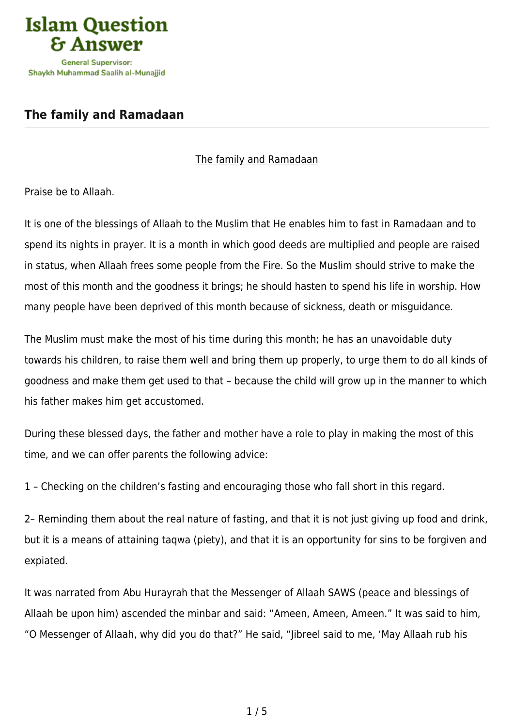

## **[The family and Ramadaan](https://islamqa.ws/en/articles/19/the-family-and-ramadaan)**

## The family and Ramadaan

Praise be to Allaah.

It is one of the blessings of Allaah to the Muslim that He enables him to fast in Ramadaan and to spend its nights in prayer. It is a month in which good deeds are multiplied and people are raised in status, when Allaah frees some people from the Fire. So the Muslim should strive to make the most of this month and the goodness it brings; he should hasten to spend his life in worship. How many people have been deprived of this month because of sickness, death or misguidance.

The Muslim must make the most of his time during this month; he has an unavoidable duty towards his children, to raise them well and bring them up properly, to urge them to do all kinds of goodness and make them get used to that – because the child will grow up in the manner to which his father makes him get accustomed.

During these blessed days, the father and mother have a role to play in making the most of this time, and we can offer parents the following advice:

1 – Checking on the children's fasting and encouraging those who fall short in this regard.

2– Reminding them about the real nature of fasting, and that it is not just giving up food and drink, but it is a means of attaining taqwa (piety), and that it is an opportunity for sins to be forgiven and expiated.

It was narrated from Abu Hurayrah that the Messenger of Allaah SAWS (peace and blessings of Allaah be upon him) ascended the minbar and said: "Ameen, Ameen, Ameen." It was said to him, "O Messenger of Allaah, why did you do that?" He said, "Jibreel said to me, 'May Allaah rub his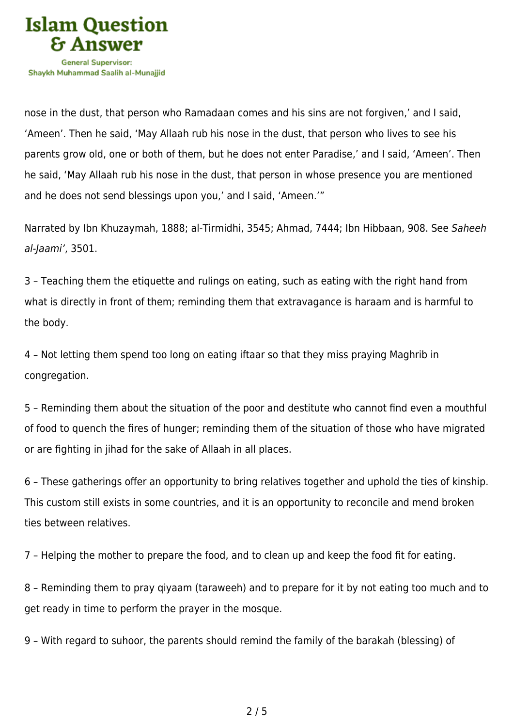

nose in the dust, that person who Ramadaan comes and his sins are not forgiven,' and I said, 'Ameen'. Then he said, 'May Allaah rub his nose in the dust, that person who lives to see his parents grow old, one or both of them, but he does not enter Paradise,' and I said, 'Ameen'. Then he said, 'May Allaah rub his nose in the dust, that person in whose presence you are mentioned and he does not send blessings upon you,' and I said, 'Ameen.'"

Narrated by Ibn Khuzaymah, 1888; al-Tirmidhi, 3545; Ahmad, 7444; Ibn Hibbaan, 908. See Saheeh al-Jaami', 3501.

3 – Teaching them the etiquette and rulings on eating, such as eating with the right hand from what is directly in front of them; reminding them that extravagance is haraam and is harmful to the body.

4 – Not letting them spend too long on eating iftaar so that they miss praying Maghrib in congregation.

5 – Reminding them about the situation of the poor and destitute who cannot find even a mouthful of food to quench the fires of hunger; reminding them of the situation of those who have migrated or are fighting in jihad for the sake of Allaah in all places.

6 – These gatherings offer an opportunity to bring relatives together and uphold the ties of kinship. This custom still exists in some countries, and it is an opportunity to reconcile and mend broken ties between relatives.

7 – Helping the mother to prepare the food, and to clean up and keep the food fit for eating.

8 – Reminding them to pray qiyaam (taraweeh) and to prepare for it by not eating too much and to get ready in time to perform the prayer in the mosque.

9 – With regard to suhoor, the parents should remind the family of the barakah (blessing) of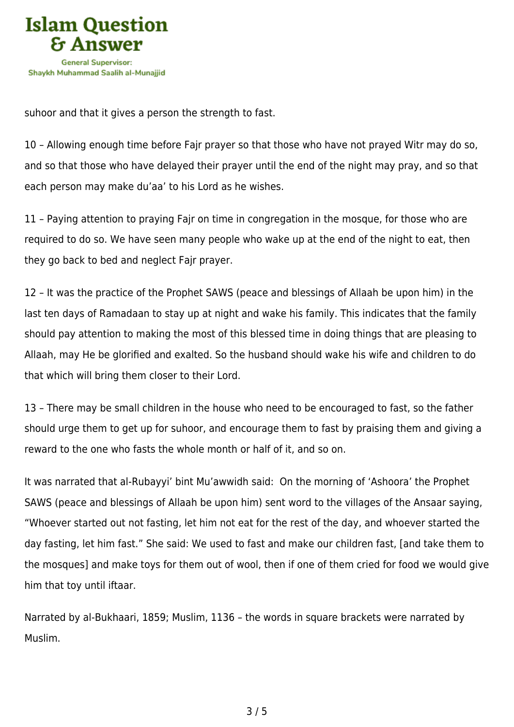

suhoor and that it gives a person the strength to fast.

10 – Allowing enough time before Fajr prayer so that those who have not prayed Witr may do so, and so that those who have delayed their prayer until the end of the night may pray, and so that each person may make du'aa' to his Lord as he wishes.

11 – Paying attention to praying Fajr on time in congregation in the mosque, for those who are required to do so. We have seen many people who wake up at the end of the night to eat, then they go back to bed and neglect Fajr prayer.

12 – It was the practice of the Prophet SAWS (peace and blessings of Allaah be upon him) in the last ten days of Ramadaan to stay up at night and wake his family. This indicates that the family should pay attention to making the most of this blessed time in doing things that are pleasing to Allaah, may He be glorified and exalted. So the husband should wake his wife and children to do that which will bring them closer to their Lord.

13 – There may be small children in the house who need to be encouraged to fast, so the father should urge them to get up for suhoor, and encourage them to fast by praising them and giving a reward to the one who fasts the whole month or half of it, and so on.

It was narrated that al-Rubayyi' bint Mu'awwidh said: On the morning of 'Ashoora' the Prophet SAWS (peace and blessings of Allaah be upon him) sent word to the villages of the Ansaar saying, "Whoever started out not fasting, let him not eat for the rest of the day, and whoever started the day fasting, let him fast." She said: We used to fast and make our children fast, [and take them to the mosques] and make toys for them out of wool, then if one of them cried for food we would give him that toy until iftaar.

Narrated by al-Bukhaari, 1859; Muslim, 1136 – the words in square brackets were narrated by Muslim.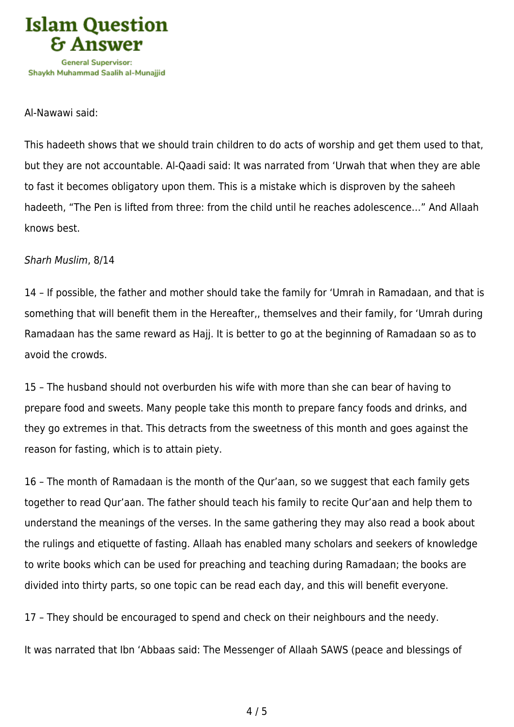

## Al-Nawawi said:

This hadeeth shows that we should train children to do acts of worship and get them used to that, but they are not accountable. Al-Qaadi said: It was narrated from 'Urwah that when they are able to fast it becomes obligatory upon them. This is a mistake which is disproven by the saheeh hadeeth, "The Pen is lifted from three: from the child until he reaches adolescence…" And Allaah knows best.

## Sharh Muslim, 8/14

14 – If possible, the father and mother should take the family for 'Umrah in Ramadaan, and that is something that will benefit them in the Hereafter,, themselves and their family, for 'Umrah during Ramadaan has the same reward as Hajj. It is better to go at the beginning of Ramadaan so as to avoid the crowds.

15 – The husband should not overburden his wife with more than she can bear of having to prepare food and sweets. Many people take this month to prepare fancy foods and drinks, and they go extremes in that. This detracts from the sweetness of this month and goes against the reason for fasting, which is to attain piety.

16 – The month of Ramadaan is the month of the Qur'aan, so we suggest that each family gets together to read Qur'aan. The father should teach his family to recite Qur'aan and help them to understand the meanings of the verses. In the same gathering they may also read a book about the rulings and etiquette of fasting. Allaah has enabled many scholars and seekers of knowledge to write books which can be used for preaching and teaching during Ramadaan; the books are divided into thirty parts, so one topic can be read each day, and this will benefit everyone.

17 – They should be encouraged to spend and check on their neighbours and the needy.

It was narrated that Ibn 'Abbaas said: The Messenger of Allaah SAWS (peace and blessings of